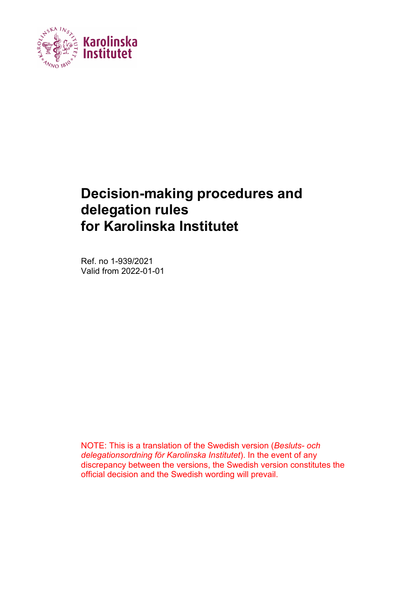

## **Decision-making procedures and delegation rules for Karolinska Institutet**

Ref. no 1-939/2021 Valid from 2022-01-01

NOTE: This is a translation of the Swedish version (*Besluts- och delegationsordning för Karolinska Institutet*). In the event of any discrepancy between the versions, the Swedish version constitutes the official decision and the Swedish wording will prevail.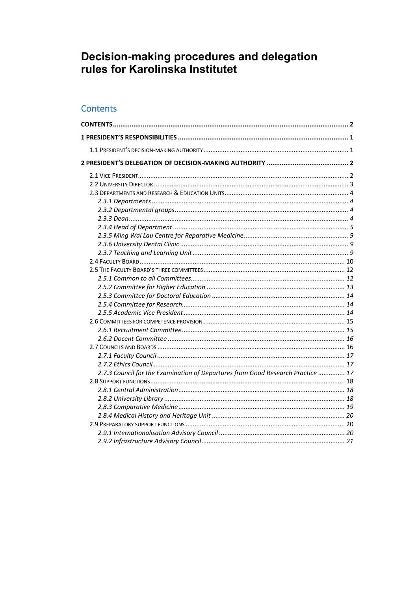# Decision-making procedures and delegation<br>rules for Karolinska Institutet

## <span id="page-1-0"></span>Contents

| 2.7.3 Council for the Examination of Departures from Good Research Practice  17 |  |
|---------------------------------------------------------------------------------|--|
|                                                                                 |  |
|                                                                                 |  |
|                                                                                 |  |
|                                                                                 |  |
|                                                                                 |  |
|                                                                                 |  |
|                                                                                 |  |
|                                                                                 |  |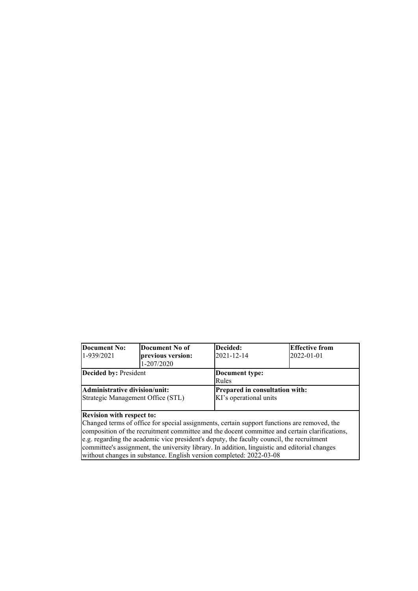#### **Document No:** 1-939/2021 **Document No of previous version:**  1-207/2020 **Decided:** 2021-12-14 **Effective from** 2022-01-01 **Decided by:** President **Document type:** Rules **Administrative division/unit:**  Strategic Management Office (STL) **Prepared in consultation with:**  KI's operational units

#### **Revision with respect to:**

Changed terms of office for special assignments, certain support functions are removed, the composition of the recruitment committee and the docent committee and certain clarifications, e.g. regarding the academic vice president's deputy, the faculty council, the recruitment committee's assignment, the university library. In addition, linguistic and editorial changes without changes in substance. English version completed: 2022-03-08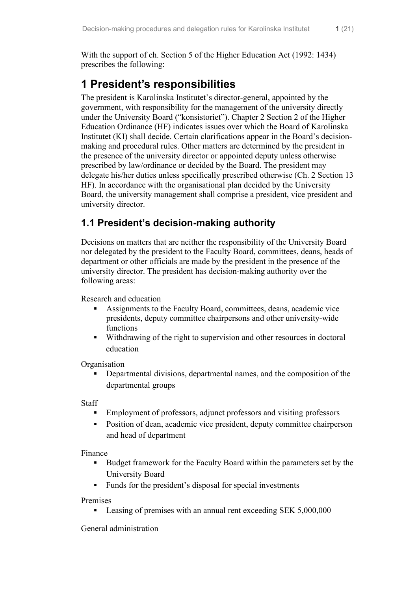With the support of ch. Section 5 of the Higher Education Act (1992: 1434) prescribes the following:

## <span id="page-3-0"></span>**1 President's responsibilities**

The president is Karolinska Institutet's director-general, appointed by the government, with responsibility for the management of the university directly under the University Board ("konsistoriet"). Chapter 2 Section 2 of the Higher Education Ordinance (HF) indicates issues over which the Board of Karolinska Institutet (KI) shall decide. Certain clarifications appear in the Board's decisionmaking and procedural rules. Other matters are determined by the president in the presence of the university director or appointed deputy unless otherwise prescribed by law/ordinance or decided by the Board. The president may delegate his/her duties unless specifically prescribed otherwise (Ch. 2 Section 13 HF). In accordance with the organisational plan decided by the University Board, the university management shall comprise a president, vice president and university director.

## <span id="page-3-1"></span>**1.1 President's decision-making authority**

Decisions on matters that are neither the responsibility of the University Board nor delegated by the president to the Faculty Board, committees, deans, heads of department or other officials are made by the president in the presence of the university director. The president has decision-making authority over the following areas:

Research and education

- Assignments to the Faculty Board, committees, deans, academic vice presidents, deputy committee chairpersons and other university-wide functions
- Withdrawing of the right to supervision and other resources in doctoral education

**Organisation** 

 Departmental divisions, departmental names, and the composition of the departmental groups

Staff

- Employment of professors, adjunct professors and visiting professors
- Position of dean, academic vice president, deputy committee chairperson and head of department

Finance

- Budget framework for the Faculty Board within the parameters set by the University Board
- Funds for the president's disposal for special investments

Premises

Leasing of premises with an annual rent exceeding SEK 5,000,000

General administration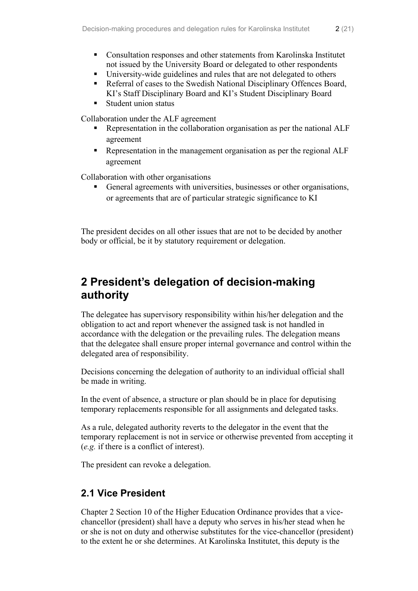- University-wide guidelines and rules that are not delegated to others
- Referral of cases to the Swedish National Disciplinary Offences Board, KI's Staff Disciplinary Board and KI's Student Disciplinary Board
- Student union status

Collaboration under the ALF agreement

- **Representation in the collaboration organisation as per the national ALF** agreement
- Representation in the management organisation as per the regional ALF agreement

Collaboration with other organisations

 General agreements with universities, businesses or other organisations, or agreements that are of particular strategic significance to KI

The president decides on all other issues that are not to be decided by another body or official, be it by statutory requirement or delegation.

## <span id="page-4-0"></span>**2 President's delegation of decision-making authority**

The delegatee has supervisory responsibility within his/her delegation and the obligation to act and report whenever the assigned task is not handled in accordance with the delegation or the prevailing rules. The delegation means that the delegatee shall ensure proper internal governance and control within the delegated area of responsibility.

Decisions concerning the delegation of authority to an individual official shall be made in writing.

In the event of absence, a structure or plan should be in place for deputising temporary replacements responsible for all assignments and delegated tasks.

As a rule, delegated authority reverts to the delegator in the event that the temporary replacement is not in service or otherwise prevented from accepting it (*e.g.* if there is a conflict of interest).

The president can revoke a delegation.

## <span id="page-4-1"></span>**2.1 Vice President**

Chapter 2 Section 10 of the Higher Education Ordinance provides that a vicechancellor (president) shall have a deputy who serves in his/her stead when he or she is not on duty and otherwise substitutes for the vice-chancellor (president) to the extent he or she determines. At Karolinska Institutet, this deputy is the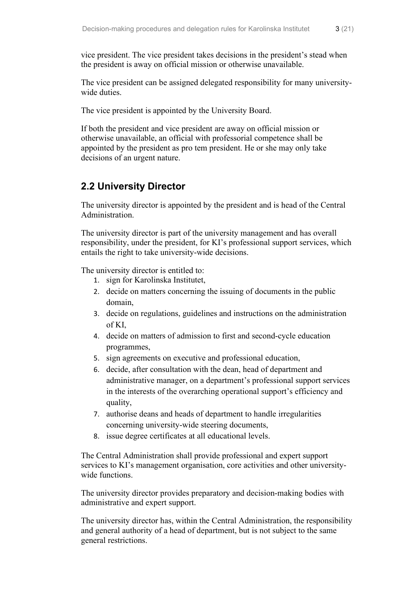The vice president can be assigned delegated responsibility for many universitywide duties.

The vice president is appointed by the University Board.

If both the president and vice president are away on official mission or otherwise unavailable, an official with professorial competence shall be appointed by the president as pro tem president. He or she may only take decisions of an urgent nature.

## <span id="page-5-0"></span>**2.2 University Director**

The university director is appointed by the president and is head of the Central Administration.

The university director is part of the university management and has overall responsibility, under the president, for KI's professional support services, which entails the right to take university-wide decisions.

The university director is entitled to:

- 1. sign for Karolinska Institutet,
- 2. decide on matters concerning the issuing of documents in the public domain,
- 3. decide on regulations, guidelines and instructions on the administration of KI,
- 4. decide on matters of admission to first and second-cycle education programmes,
- 5. sign agreements on executive and professional education,
- 6. decide, after consultation with the dean, head of department and administrative manager, on a department's professional support services in the interests of the overarching operational support's efficiency and quality,
- 7. authorise deans and heads of department to handle irregularities concerning university-wide steering documents,
- 8. issue degree certificates at all educational levels.

The Central Administration shall provide professional and expert support services to KI's management organisation, core activities and other universitywide functions.

The university director provides preparatory and decision-making bodies with administrative and expert support.

The university director has, within the Central Administration, the responsibility and general authority of a head of department, but is not subject to the same general restrictions.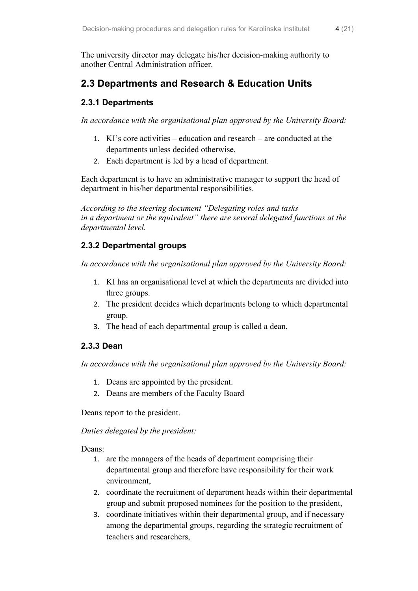The university director may delegate his/her decision-making authority to another Central Administration officer.

## <span id="page-6-0"></span>**2.3 Departments and Research & Education Units**

#### <span id="page-6-1"></span>**2.3.1 Departments**

*In accordance with the organisational plan approved by the University Board:*

- 1. KI's core activities education and research are conducted at the departments unless decided otherwise.
- 2. Each department is led by a head of department.

Each department is to have an administrative manager to support the head of department in his/her departmental responsibilities.

*According to the steering document "Delegating roles and tasks in a department or the equivalent" there are several delegated functions at the departmental level.*

#### <span id="page-6-2"></span>**2.3.2 Departmental groups**

*In accordance with the organisational plan approved by the University Board:*

- 1. KI has an organisational level at which the departments are divided into three groups.
- 2. The president decides which departments belong to which departmental group.
- 3. The head of each departmental group is called a dean.

#### <span id="page-6-3"></span>**2.3.3 Dean**

*In accordance with the organisational plan approved by the University Board:*

- 1. Deans are appointed by the president.
- 2. Deans are members of the Faculty Board

Deans report to the president.

*Duties delegated by the president:*

Deans:

- 1. are the managers of the heads of department comprising their departmental group and therefore have responsibility for their work environment,
- 2. coordinate the recruitment of department heads within their departmental group and submit proposed nominees for the position to the president,
- 3. coordinate initiatives within their departmental group, and if necessary among the departmental groups, regarding the strategic recruitment of teachers and researchers,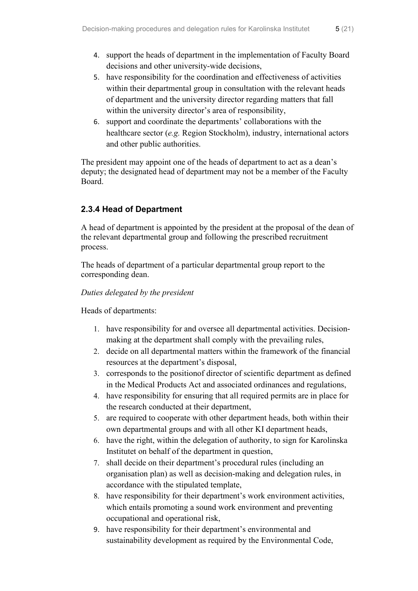- 4. support the heads of department in the implementation of Faculty Board decisions and other university-wide decisions,
- 5. have responsibility for the coordination and effectiveness of activities within their departmental group in consultation with the relevant heads of department and the university director regarding matters that fall within the university director's area of responsibility,
- 6. support and coordinate the departments' collaborations with the healthcare sector (*e.g.* Region Stockholm), industry, international actors and other public authorities.

The president may appoint one of the heads of department to act as a dean's deputy; the designated head of department may not be a member of the Faculty Board.

#### <span id="page-7-0"></span>**2.3.4 Head of Department**

A head of department is appointed by the president at the proposal of the dean of the relevant departmental group and following the prescribed recruitment process.

The heads of department of a particular departmental group report to the corresponding dean.

#### *Duties delegated by the president*

Heads of departments:

- 1. have responsibility for and oversee all departmental activities. Decisionmaking at the department shall comply with the prevailing rules,
- 2. decide on all departmental matters within the framework of the financial resources at the department's disposal,
- 3. corresponds to the positionof director of scientific department as defined in the Medical Products Act and associated ordinances and regulations,
- 4. have responsibility for ensuring that all required permits are in place for the research conducted at their department,
- 5. are required to cooperate with other department heads, both within their own departmental groups and with all other KI department heads,
- 6. have the right, within the delegation of authority, to sign for Karolinska Institutet on behalf of the department in question,
- 7. shall decide on their department's procedural rules (including an organisation plan) as well as decision-making and delegation rules, in accordance with the stipulated template,
- 8. have responsibility for their department's work environment activities, which entails promoting a sound work environment and preventing occupational and operational risk,
- 9. have responsibility for their department's environmental and sustainability development as required by the Environmental Code,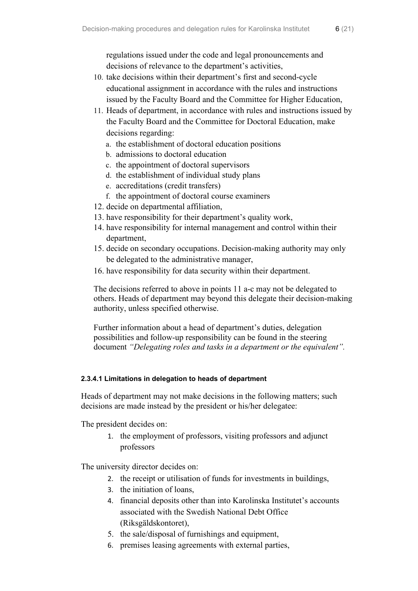- 10. take decisions within their department's first and second-cycle educational assignment in accordance with the rules and instructions issued by the Faculty Board and the Committee for Higher Education,
- 11. Heads of department, in accordance with rules and instructions issued by the Faculty Board and the Committee for Doctoral Education, make decisions regarding:
	- a. the establishment of doctoral education positions
	- b. admissions to doctoral education
	- c. the appointment of doctoral supervisors
	- d. the establishment of individual study plans
	- e. accreditations (credit transfers)
	- f. the appointment of doctoral course examiners
- 12. decide on departmental affiliation,
- 13. have responsibility for their department's quality work,
- 14. have responsibility for internal management and control within their department,
- 15. decide on secondary occupations. Decision-making authority may only be delegated to the administrative manager,
- 16. have responsibility for data security within their department.

The decisions referred to above in points 11 a-c may not be delegated to others. Heads of department may beyond this delegate their decision-making authority, unless specified otherwise.

Further information about a head of department's duties, delegation possibilities and follow-up responsibility can be found in the steering document *"Delegating roles and tasks in a department or the equivalent".*

#### **2.3.4.1 Limitations in delegation to heads of department**

Heads of department may not make decisions in the following matters; such decisions are made instead by the president or his/her delegatee:

The president decides on:

1. the employment of professors, visiting professors and adjunct professors

The university director decides on:

- 2. the receipt or utilisation of funds for investments in buildings,
- 3. the initiation of loans,
- 4. financial deposits other than into Karolinska Institutet's accounts associated with the Swedish National Debt Office (Riksgäldskontoret),
- 5. the sale/disposal of furnishings and equipment,
- 6. premises leasing agreements with external parties,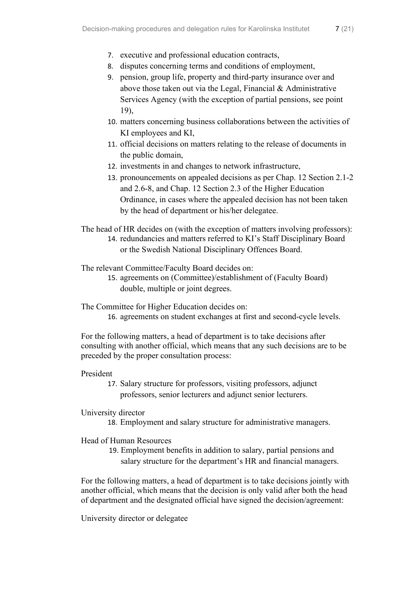- 8. disputes concerning terms and conditions of employment,
- 9. pension, group life, property and third-party insurance over and above those taken out via the Legal, Financial  $&$  Administrative Services Agency (with the exception of partial pensions, see point 19),
- 10. matters concerning business collaborations between the activities of KI employees and KI,
- 11. official decisions on matters relating to the release of documents in the public domain,
- 12. investments in and changes to network infrastructure,
- 13. pronouncements on appealed decisions as per Chap. 12 Section 2.1-2 and 2.6-8, and Chap. 12 Section 2.3 of the Higher Education Ordinance, in cases where the appealed decision has not been taken by the head of department or his/her delegatee.

The head of HR decides on (with the exception of matters involving professors):

14. redundancies and matters referred to KI's Staff Disciplinary Board or the Swedish National Disciplinary Offences Board.

The relevant Committee/Faculty Board decides on:

15. agreements on (Committee)/establishment of (Faculty Board) double, multiple or joint degrees.

The Committee for Higher Education decides on:

16. agreements on student exchanges at first and second-cycle levels.

For the following matters, a head of department is to take decisions after consulting with another official, which means that any such decisions are to be preceded by the proper consultation process:

President

17. Salary structure for professors, visiting professors, adjunct professors, senior lecturers and adjunct senior lecturers.

#### University director

18. Employment and salary structure for administrative managers.

#### Head of Human Resources

19. Employment benefits in addition to salary, partial pensions and salary structure for the department's HR and financial managers.

For the following matters, a head of department is to take decisions jointly with another official, which means that the decision is only valid after both the head of department and the designated official have signed the decision/agreement:

University director or delegatee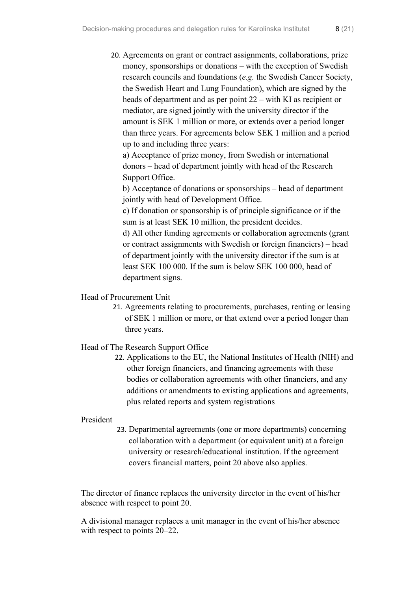20. Agreements on grant or contract assignments, collaborations, prize money, sponsorships or donations – with the exception of Swedish research councils and foundations (*e.g.* the Swedish Cancer Society, the Swedish Heart and Lung Foundation), which are signed by the heads of department and as per point 22 – with KI as recipient or mediator, are signed jointly with the university director if the amount is SEK 1 million or more, or extends over a period longer than three years. For agreements below SEK 1 million and a period up to and including three years:

a) Acceptance of prize money, from Swedish or international donors – head of department jointly with head of the Research Support Office.

b) Acceptance of donations or sponsorships – head of department jointly with head of Development Office.

c) If donation or sponsorship is of principle significance or if the sum is at least SEK 10 million, the president decides.

d) All other funding agreements or collaboration agreements (grant or contract assignments with Swedish or foreign financiers) – head of department jointly with the university director if the sum is at least SEK 100 000. If the sum is below SEK 100 000, head of department signs.

#### Head of Procurement Unit

21. Agreements relating to procurements, purchases, renting or leasing of SEK 1 million or more, or that extend over a period longer than three years.

#### Head of The Research Support Office

22. Applications to the EU, the National Institutes of Health (NIH) and other foreign financiers, and financing agreements with these bodies or collaboration agreements with other financiers, and any additions or amendments to existing applications and agreements, plus related reports and system registrations

#### President

23. Departmental agreements (one or more departments) concerning collaboration with a department (or equivalent unit) at a foreign university or research/educational institution. If the agreement covers financial matters, point 20 above also applies.

The director of finance replaces the university director in the event of his/her absence with respect to point 20.

A divisional manager replaces a unit manager in the event of his/her absence with respect to points 20–22.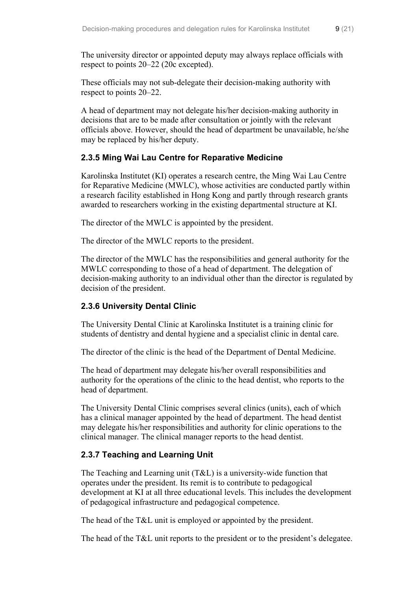The university director or appointed deputy may always replace officials with respect to points 20–22 (20c excepted).

These officials may not sub-delegate their decision-making authority with respect to points 20–22.

A head of department may not delegate his/her decision-making authority in decisions that are to be made after consultation or jointly with the relevant officials above. However, should the head of department be unavailable, he/she may be replaced by his/her deputy.

#### <span id="page-11-0"></span>**2.3.5 Ming Wai Lau Centre for Reparative Medicine**

Karolinska Institutet (KI) operates a research centre, the Ming Wai Lau Centre for Reparative Medicine (MWLC), whose activities are conducted partly within a research facility established in Hong Kong and partly through research grants awarded to researchers working in the existing departmental structure at KI.

The director of the MWLC is appointed by the president.

The director of the MWLC reports to the president.

The director of the MWLC has the responsibilities and general authority for the MWLC corresponding to those of a head of department. The delegation of decision-making authority to an individual other than the director is regulated by decision of the president.

#### <span id="page-11-1"></span>**2.3.6 University Dental Clinic**

The University Dental Clinic at Karolinska Institutet is a training clinic for students of dentistry and dental hygiene and a specialist clinic in dental care.

The director of the clinic is the head of the Department of Dental Medicine.

The head of department may delegate his/her overall responsibilities and authority for the operations of the clinic to the head dentist, who reports to the head of department.

The University Dental Clinic comprises several clinics (units), each of which has a clinical manager appointed by the head of department. The head dentist may delegate his/her responsibilities and authority for clinic operations to the clinical manager. The clinical manager reports to the head dentist.

#### <span id="page-11-2"></span>**2.3.7 Teaching and Learning Unit**

The Teaching and Learning unit (T&L) is a university-wide function that operates under the president. Its remit is to contribute to pedagogical development at KI at all three educational levels. This includes the development of pedagogical infrastructure and pedagogical competence.

The head of the T&L unit is employed or appointed by the president.

The head of the T&L unit reports to the president or to the president's delegatee.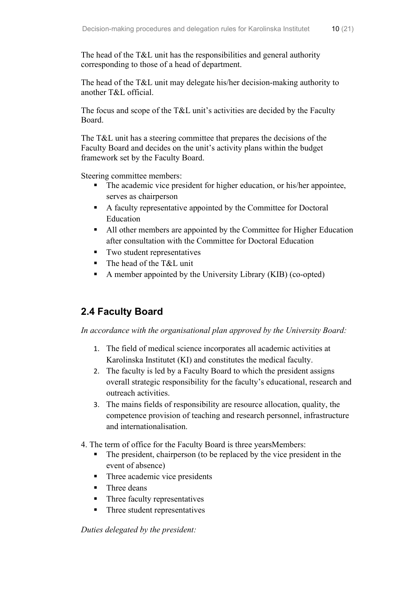The head of the T&L unit has the responsibilities and general authority corresponding to those of a head of department.

The head of the T&L unit may delegate his/her decision-making authority to another T&L official.

The focus and scope of the T&L unit's activities are decided by the Faculty Board.

The T&L unit has a steering committee that prepares the decisions of the Faculty Board and decides on the unit's activity plans within the budget framework set by the Faculty Board.

Steering committee members:

- The academic vice president for higher education, or his/her appointee, serves as chairperson
- A faculty representative appointed by the Committee for Doctoral Education
- All other members are appointed by the Committee for Higher Education after consultation with the Committee for Doctoral Education
- **Two student representatives**
- The head of the T&L unit
- A member appointed by the University Library (KIB) (co-opted)

## <span id="page-12-0"></span>**2.4 Faculty Board**

*In accordance with the organisational plan approved by the University Board:*

- 1. The field of medical science incorporates all academic activities at Karolinska Institutet (KI) and constitutes the medical faculty.
- 2. The faculty is led by a Faculty Board to which the president assigns overall strategic responsibility for the faculty's educational, research and outreach activities.
- 3. The mains fields of responsibility are resource allocation, quality, the competence provision of teaching and research personnel, infrastructure and internationalisation.
- 4. The term of office for the Faculty Board is three yearsMembers:
	- The president, chairperson (to be replaced by the vice president in the event of absence)
	- Three academic vice presidents
	- Three deans
	- Three faculty representatives
	- Three student representatives

*Duties delegated by the president:*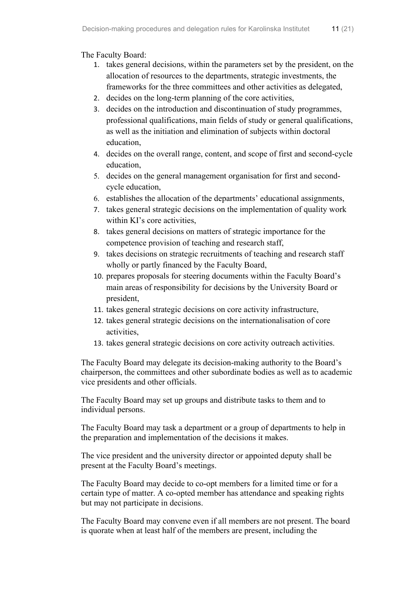The Faculty Board:

- 1. takes general decisions, within the parameters set by the president, on the allocation of resources to the departments, strategic investments, the frameworks for the three committees and other activities as delegated,
- 2. decides on the long-term planning of the core activities,
- 3. decides on the introduction and discontinuation of study programmes, professional qualifications, main fields of study or general qualifications, as well as the initiation and elimination of subjects within doctoral education,
- 4. decides on the overall range, content, and scope of first and second-cycle education,
- 5. decides on the general management organisation for first and secondcycle education,
- 6. establishes the allocation of the departments' educational assignments,
- 7. takes general strategic decisions on the implementation of quality work within KI's core activities,
- 8. takes general decisions on matters of strategic importance for the competence provision of teaching and research staff,
- 9. takes decisions on strategic recruitments of teaching and research staff wholly or partly financed by the Faculty Board,
- 10. prepares proposals for steering documents within the Faculty Board's main areas of responsibility for decisions by the University Board or president,
- 11. takes general strategic decisions on core activity infrastructure,
- 12. takes general strategic decisions on the internationalisation of core activities,
- 13. takes general strategic decisions on core activity outreach activities.

The Faculty Board may delegate its decision-making authority to the Board's chairperson, the committees and other subordinate bodies as well as to academic vice presidents and other officials.

The Faculty Board may set up groups and distribute tasks to them and to individual persons.

The Faculty Board may task a department or a group of departments to help in the preparation and implementation of the decisions it makes.

The vice president and the university director or appointed deputy shall be present at the Faculty Board's meetings.

The Faculty Board may decide to co-opt members for a limited time or for a certain type of matter. A co-opted member has attendance and speaking rights but may not participate in decisions.

The Faculty Board may convene even if all members are not present. The board is quorate when at least half of the members are present, including the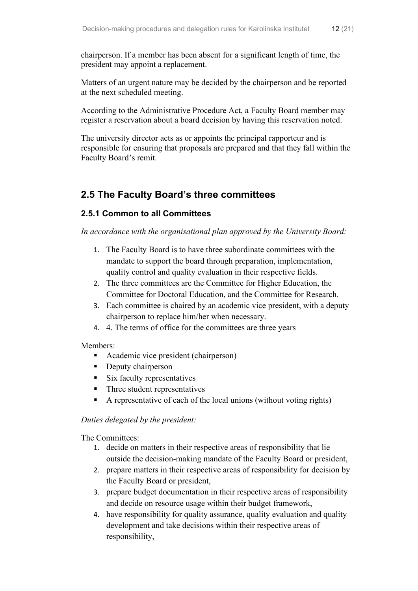chairperson. If a member has been absent for a significant length of time, the president may appoint a replacement.

Matters of an urgent nature may be decided by the chairperson and be reported at the next scheduled meeting.

According to the Administrative Procedure Act, a Faculty Board member may register a reservation about a board decision by having this reservation noted.

The university director acts as or appoints the principal rapporteur and is responsible for ensuring that proposals are prepared and that they fall within the Faculty Board's remit.

## <span id="page-14-0"></span>**2.5 The Faculty Board's three committees**

#### <span id="page-14-1"></span>**2.5.1 Common to all Committees**

*In accordance with the organisational plan approved by the University Board:*

- 1. The Faculty Board is to have three subordinate committees with the mandate to support the board through preparation, implementation, quality control and quality evaluation in their respective fields.
- 2. The three committees are the Committee for Higher Education, the Committee for Doctoral Education, and the Committee for Research.
- 3. Each committee is chaired by an academic vice president, with a deputy chairperson to replace him/her when necessary.
- 4. 4. The terms of office for the committees are three years

#### Members:

- **Academic vice president (chairperson)**
- Deputy chairperson
- $\blacksquare$  Six faculty representatives
- Three student representatives
- A representative of each of the local unions (without voting rights)

#### *Duties delegated by the president:*

The Committees:

- 1. decide on matters in their respective areas of responsibility that lie outside the decision-making mandate of the Faculty Board or president,
- 2. prepare matters in their respective areas of responsibility for decision by the Faculty Board or president,
- 3. prepare budget documentation in their respective areas of responsibility and decide on resource usage within their budget framework,
- 4. have responsibility for quality assurance, quality evaluation and quality development and take decisions within their respective areas of responsibility,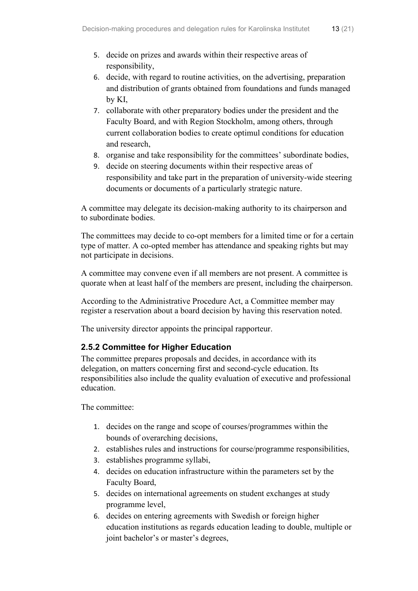- 5. decide on prizes and awards within their respective areas of responsibility,
- 6. decide, with regard to routine activities, on the advertising, preparation and distribution of grants obtained from foundations and funds managed by KI,
- 7. collaborate with other preparatory bodies under the president and the Faculty Board, and with Region Stockholm, among others, through current collaboration bodies to create optimul conditions for education and research,
- 8. organise and take responsibility for the committees' subordinate bodies,
- 9. decide on steering documents within their respective areas of responsibility and take part in the preparation of university-wide steering documents or documents of a particularly strategic nature.

A committee may delegate its decision-making authority to its chairperson and to subordinate bodies.

The committees may decide to co-opt members for a limited time or for a certain type of matter. A co-opted member has attendance and speaking rights but may not participate in decisions.

A committee may convene even if all members are not present. A committee is quorate when at least half of the members are present, including the chairperson.

According to the Administrative Procedure Act, a Committee member may register a reservation about a board decision by having this reservation noted.

The university director appoints the principal rapporteur.

### <span id="page-15-0"></span>**2.5.2 Committee for Higher Education**

The committee prepares proposals and decides, in accordance with its delegation, on matters concerning first and second-cycle education. Its responsibilities also include the quality evaluation of executive and professional education.

The committee:

- 1. decides on the range and scope of courses/programmes within the bounds of overarching decisions,
- 2. establishes rules and instructions for course/programme responsibilities,
- 3. establishes programme syllabi,
- 4. decides on education infrastructure within the parameters set by the Faculty Board,
- 5. decides on international agreements on student exchanges at study programme level,
- 6. decides on entering agreements with Swedish or foreign higher education institutions as regards education leading to double, multiple or joint bachelor's or master's degrees,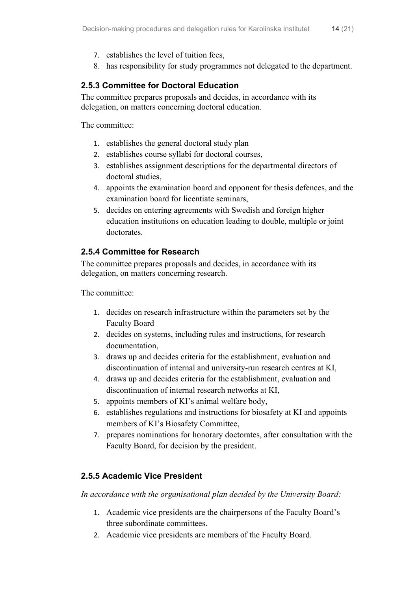- 7. establishes the level of tuition fees,
- 8. has responsibility for study programmes not delegated to the department.

#### <span id="page-16-0"></span>**2.5.3 Committee for Doctoral Education**

The committee prepares proposals and decides, in accordance with its delegation, on matters concerning doctoral education.

The committee:

- 1. establishes the general doctoral study plan
- 2. establishes course syllabi for doctoral courses,
- 3. establishes assignment descriptions for the departmental directors of doctoral studies,
- 4. appoints the examination board and opponent for thesis defences, and the examination board for licentiate seminars,
- 5. decides on entering agreements with Swedish and foreign higher education institutions on education leading to double, multiple or joint doctorates.

#### <span id="page-16-1"></span>**2.5.4 Committee for Research**

The committee prepares proposals and decides, in accordance with its delegation, on matters concerning research.

The committee:

- 1. decides on research infrastructure within the parameters set by the Faculty Board
- 2. decides on systems, including rules and instructions, for research documentation,
- 3. draws up and decides criteria for the establishment, evaluation and discontinuation of internal and university-run research centres at KI,
- 4. draws up and decides criteria for the establishment, evaluation and discontinuation of internal research networks at KI,
- 5. appoints members of KI's animal welfare body,
- 6. establishes regulations and instructions for biosafety at KI and appoints members of KI's Biosafety Committee,
- 7. prepares nominations for honorary doctorates, after consultation with the Faculty Board, for decision by the president.

#### <span id="page-16-2"></span>**2.5.5 Academic Vice President**

*In accordance with the organisational plan decided by the University Board:*

- 1. Academic vice presidents are the chairpersons of the Faculty Board's three subordinate committees.
- 2. Academic vice presidents are members of the Faculty Board.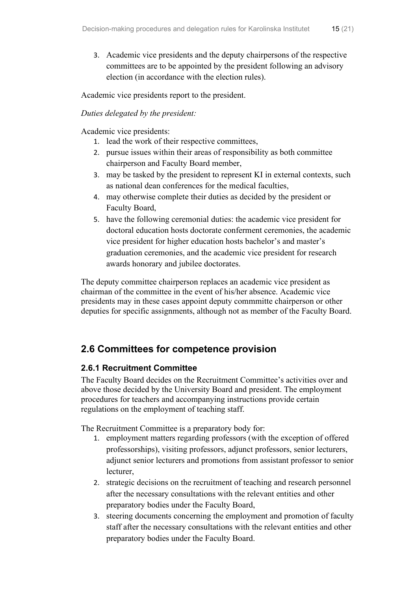3. Academic vice presidents and the deputy chairpersons of the respective committees are to be appointed by the president following an advisory election (in accordance with the election rules).

Academic vice presidents report to the president.

#### *Duties delegated by the president:*

Academic vice presidents:

- 1. lead the work of their respective committees,
- 2. pursue issues within their areas of responsibility as both committee chairperson and Faculty Board member,
- 3. may be tasked by the president to represent KI in external contexts, such as national dean conferences for the medical faculties,
- 4. may otherwise complete their duties as decided by the president or Faculty Board,
- 5. have the following ceremonial duties: the academic vice president for doctoral education hosts doctorate conferment ceremonies, the academic vice president for higher education hosts bachelor's and master's graduation ceremonies, and the academic vice president for research awards honorary and jubilee doctorates.

The deputy committee chairperson replaces an academic vice president as chairman of the committee in the event of his/her absence. Academic vice presidents may in these cases appoint deputy commmitte chairperson or other deputies for specific assignments, although not as member of the Faculty Board.

## <span id="page-17-0"></span>**2.6 Committees for competence provision**

#### <span id="page-17-1"></span>**2.6.1 Recruitment Committee**

The Faculty Board decides on the Recruitment Committee's activities over and above those decided by the University Board and president. The employment procedures for teachers and accompanying instructions provide certain regulations on the employment of teaching staff.

The Recruitment Committee is a preparatory body for:

- 1. employment matters regarding professors (with the exception of offered professorships), visiting professors, adjunct professors, senior lecturers, adjunct senior lecturers and promotions from assistant professor to senior lecturer,
- 2. strategic decisions on the recruitment of teaching and research personnel after the necessary consultations with the relevant entities and other preparatory bodies under the Faculty Board,
- 3. steering documents concerning the employment and promotion of faculty staff after the necessary consultations with the relevant entities and other preparatory bodies under the Faculty Board.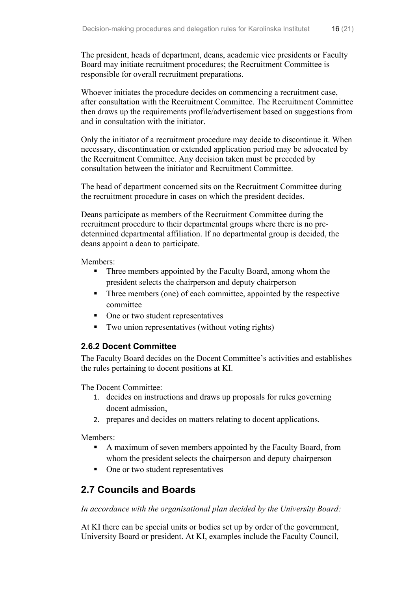The president, heads of department, deans, academic vice presidents or Faculty Board may initiate recruitment procedures; the Recruitment Committee is responsible for overall recruitment preparations.

Whoever initiates the procedure decides on commencing a recruitment case, after consultation with the Recruitment Committee. The Recruitment Committee then draws up the requirements profile/advertisement based on suggestions from and in consultation with the initiator.

Only the initiator of a recruitment procedure may decide to discontinue it. When necessary, discontinuation or extended application period may be advocated by the Recruitment Committee. Any decision taken must be preceded by consultation between the initiator and Recruitment Committee.

The head of department concerned sits on the Recruitment Committee during the recruitment procedure in cases on which the president decides.

Deans participate as members of the Recruitment Committee during the recruitment procedure to their departmental groups where there is no predetermined departmental affiliation. If no departmental group is decided, the deans appoint a dean to participate.

Members:

- Three members appointed by the Faculty Board, among whom the president selects the chairperson and deputy chairperson
- Three members (one) of each committee, appointed by the respective committee
- One or two student representatives
- Two union representatives (without voting rights)

#### <span id="page-18-0"></span>**2.6.2 Docent Committee**

The Faculty Board decides on the Docent Committee's activities and establishes the rules pertaining to docent positions at KI.

The Docent Committee:

- 1. decides on instructions and draws up proposals for rules governing docent admission,
- 2. prepares and decides on matters relating to docent applications.

Members:

- A maximum of seven members appointed by the Faculty Board, from whom the president selects the chairperson and deputy chairperson
- One or two student representatives

## <span id="page-18-1"></span>**2.7 Councils and Boards**

*In accordance with the organisational plan decided by the University Board:*

At KI there can be special units or bodies set up by order of the government, University Board or president. At KI, examples include the Faculty Council,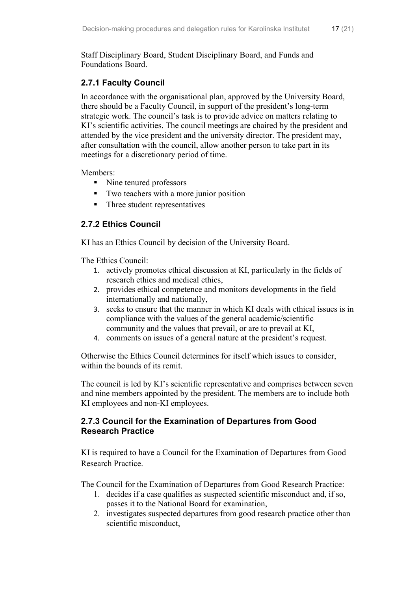Staff Disciplinary Board, Student Disciplinary Board, and Funds and Foundations Board.

#### <span id="page-19-0"></span>**2.7.1 Faculty Council**

In accordance with the organisational plan, approved by the University Board, there should be a Faculty Council, in support of the president's long-term strategic work. The council's task is to provide advice on matters relating to KI's scientific activities. The council meetings are chaired by the president and attended by the vice president and the university director. The president may, after consultation with the council, allow another person to take part in its meetings for a discretionary period of time.

Members:

- Nine tenured professors
- Two teachers with a more junior position
- Three student representatives

#### <span id="page-19-1"></span>**2.7.2 Ethics Council**

KI has an Ethics Council by decision of the University Board.

The Ethics Council:

- 1. actively promotes ethical discussion at KI, particularly in the fields of research ethics and medical ethics,
- 2. provides ethical competence and monitors developments in the field internationally and nationally,
- 3. seeks to ensure that the manner in which KI deals with ethical issues is in compliance with the values of the general academic/scientific community and the values that prevail, or are to prevail at KI,
- 4. comments on issues of a general nature at the president's request.

Otherwise the Ethics Council determines for itself which issues to consider, within the bounds of its remit.

The council is led by KI's scientific representative and comprises between seven and nine members appointed by the president. The members are to include both KI employees and non-KI employees.

#### <span id="page-19-2"></span>**2.7.3 Council for the Examination of Departures from Good Research Practice**

KI is required to have a Council for the Examination of Departures from Good Research Practice.

The Council for the Examination of Departures from Good Research Practice:

- 1. decides if a case qualifies as suspected scientific misconduct and, if so, passes it to the National Board for examination,
- 2. investigates suspected departures from good research practice other than scientific misconduct,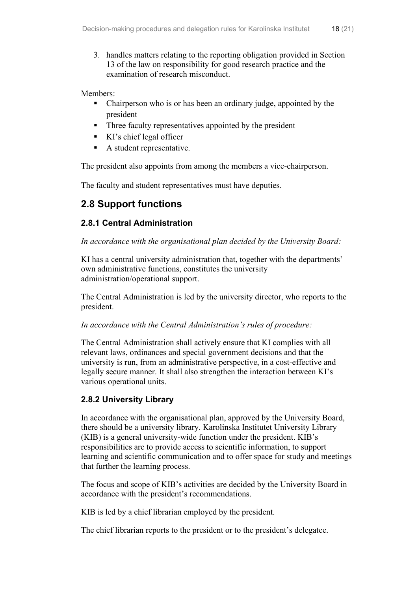3. handles matters relating to the reporting obligation provided in Section 13 of the law on responsibility for good research practice and the examination of research misconduct.

Members:

- Chairperson who is or has been an ordinary judge, appointed by the president
- Three faculty representatives appointed by the president
- KI's chief legal officer
- A student representative.

The president also appoints from among the members a vice-chairperson.

The faculty and student representatives must have deputies.

## <span id="page-20-0"></span>**2.8 Support functions**

#### <span id="page-20-1"></span>**2.8.1 Central Administration**

#### *In accordance with the organisational plan decided by the University Board:*

KI has a central university administration that, together with the departments' own administrative functions, constitutes the university administration/operational support.

The Central Administration is led by the university director, who reports to the president.

#### *In accordance with the Central Administration's rules of procedure:*

The Central Administration shall actively ensure that KI complies with all relevant laws, ordinances and special government decisions and that the university is run, from an administrative perspective, in a cost-effective and legally secure manner. It shall also strengthen the interaction between KI's various operational units.

#### <span id="page-20-2"></span>**2.8.2 University Library**

In accordance with the organisational plan, approved by the University Board, there should be a university library. Karolinska Institutet University Library (KIB) is a general university-wide function under the president. KIB's responsibilities are to provide access to scientific information, to support learning and scientific communication and to offer space for study and meetings that further the learning process.

The focus and scope of KIB's activities are decided by the University Board in accordance with the president's recommendations.

KIB is led by a chief librarian employed by the president.

The chief librarian reports to the president or to the president's delegatee.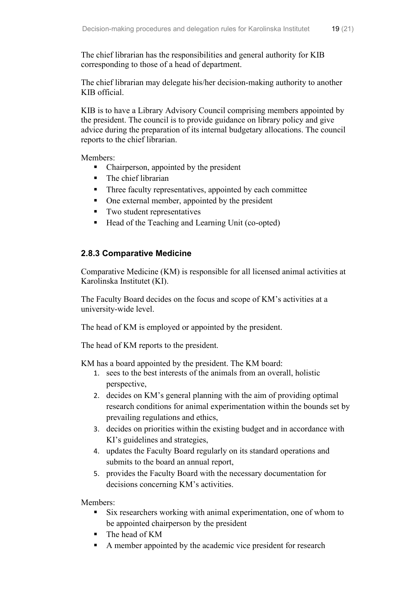The chief librarian may delegate his/her decision-making authority to another KIB official.

KIB is to have a Library Advisory Council comprising members appointed by the president. The council is to provide guidance on library policy and give advice during the preparation of its internal budgetary allocations. The council reports to the chief librarian.

Members:

- Chairperson, appointed by the president
- The chief librarian
- Three faculty representatives, appointed by each committee
- One external member, appointed by the president
- Two student representatives
- Head of the Teaching and Learning Unit (co-opted)

### <span id="page-21-0"></span>**2.8.3 Comparative Medicine**

Comparative Medicine (KM) is responsible for all licensed animal activities at Karolinska Institutet (KI).

The Faculty Board decides on the focus and scope of KM's activities at a university-wide level.

The head of KM is employed or appointed by the president.

The head of KM reports to the president.

KM has a board appointed by the president. The KM board:

- 1. sees to the best interests of the animals from an overall, holistic perspective,
- 2. decides on KM's general planning with the aim of providing optimal research conditions for animal experimentation within the bounds set by prevailing regulations and ethics,
- 3. decides on priorities within the existing budget and in accordance with KI's guidelines and strategies,
- 4. updates the Faculty Board regularly on its standard operations and submits to the board an annual report,
- 5. provides the Faculty Board with the necessary documentation for decisions concerning KM's activities.

Members:

- Six researchers working with animal experimentation, one of whom to be appointed chairperson by the president
- The head of KM
- A member appointed by the academic vice president for research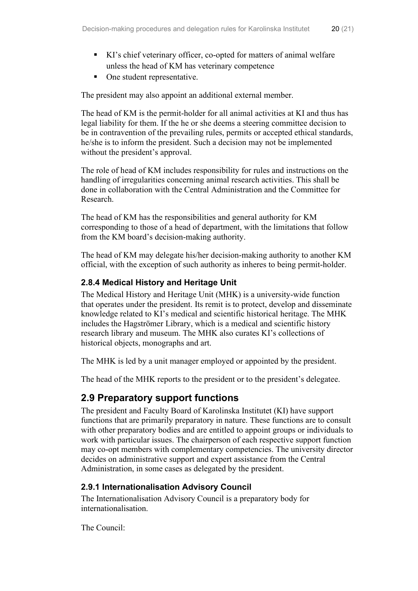- KI's chief veterinary officer, co-opted for matters of animal welfare unless the head of KM has veterinary competence
- One student representative.

The president may also appoint an additional external member.

The head of KM is the permit-holder for all animal activities at KI and thus has legal liability for them. If the he or she deems a steering committee decision to be in contravention of the prevailing rules, permits or accepted ethical standards, he/she is to inform the president. Such a decision may not be implemented without the president's approval.

The role of head of KM includes responsibility for rules and instructions on the handling of irregularities concerning animal research activities. This shall be done in collaboration with the Central Administration and the Committee for Research.

The head of KM has the responsibilities and general authority for KM corresponding to those of a head of department, with the limitations that follow from the KM board's decision-making authority.

The head of KM may delegate his/her decision-making authority to another KM official, with the exception of such authority as inheres to being permit-holder.

#### <span id="page-22-0"></span>**2.8.4 Medical History and Heritage Unit**

The Medical History and Heritage Unit (MHK) is a university-wide function that operates under the president. Its remit is to protect, develop and disseminate knowledge related to KI's medical and scientific historical heritage. The MHK includes the Hagströmer Library, which is a medical and scientific history research library and museum. The MHK also curates KI's collections of historical objects, monographs and art.

The MHK is led by a unit manager employed or appointed by the president.

The head of the MHK reports to the president or to the president's delegatee.

## <span id="page-22-1"></span>**2.9 Preparatory support functions**

The president and Faculty Board of Karolinska Institutet (KI) have support functions that are primarily preparatory in nature. These functions are to consult with other preparatory bodies and are entitled to appoint groups or individuals to work with particular issues. The chairperson of each respective support function may co-opt members with complementary competencies. The university director decides on administrative support and expert assistance from the Central Administration, in some cases as delegated by the president.

#### <span id="page-22-2"></span>**2.9.1 Internationalisation Advisory Council**

The Internationalisation Advisory Council is a preparatory body for internationalisation.

The Council: